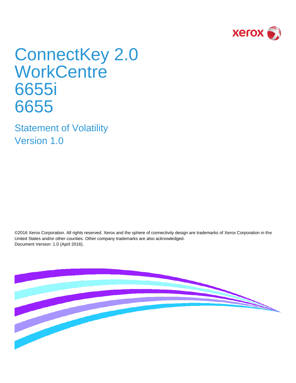

# ConnectKey 2.0 **WorkCentre** 6655i 6655

Statement of Volatility Version 1.0

©2016 Xerox Corporation. All rights reserved. Xerox and the sphere of connectivity design are trademarks of Xerox Corporation in the United States and/or other counties. Other company trademarks are also acknowledged. Document Version: 1.0 (April 2016).

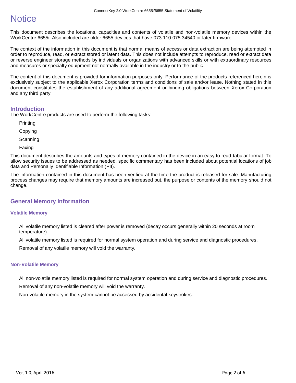# **Notice**

This document describes the locations, capacities and contents of volatile and non-volatile memory devices within the WorkCentre 6655i. Also included are older 6655 devices that have 073.110.075.34540 or later firmware.

The context of the information in this document is that normal means of access or data extraction are being attempted in order to reproduce, read, or extract stored or latent data. This does not include attempts to reproduce, read or extract data or reverse engineer storage methods by individuals or organizations with advanced skills or with extraordinary resources and measures or specialty equipment not normally available in the industry or to the public.

The content of this document is provided for information purposes only. Performance of the products referenced herein is exclusively subject to the applicable Xerox Corporation terms and conditions of sale and/or lease. Nothing stated in this document constitutes the establishment of any additional agreement or binding obligations between Xerox Corporation and any third party.

#### **Introduction**

The WorkCentre products are used to perform the following tasks:

Printing

Copying

**Scanning** 

Faxing

This document describes the amounts and types of memory contained in the device in an easy to read tabular format. To allow security issues to be addressed as needed, specific commentary has been included about potential locations of job data and Personally Identifiable Information (PII).

The information contained in this document has been verified at the time the product is released for sale. Manufacturing process changes may require that memory amounts are increased but, the purpose or contents of the memory should not change.

## **General Memory Information**

#### **Volatile Memory**

All volatile memory listed is cleared after power is removed (decay occurs generally within 20 seconds at room temperature).

All volatile memory listed is required for normal system operation and during service and diagnostic procedures.

Removal of any volatile memory will void the warranty.

#### **Non-Volatile Memory**

All non-volatile memory listed is required for normal system operation and during service and diagnostic procedures. Removal of any non-volatile memory will void the warranty.

Non-volatile memory in the system cannot be accessed by accidental keystrokes.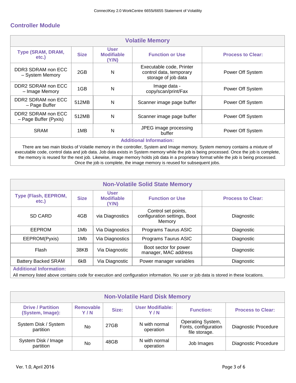### **Controller Module**

| <b>Volatile Memory</b>                                                                                                                                         |                  |                                           |                                                                            |                          |  |
|----------------------------------------------------------------------------------------------------------------------------------------------------------------|------------------|-------------------------------------------|----------------------------------------------------------------------------|--------------------------|--|
| Type (SRAM, DRAM,<br>etc.)                                                                                                                                     | <b>Size</b>      | <b>User</b><br><b>Modifiable</b><br>(Y/N) | <b>Function or Use</b>                                                     | <b>Process to Clear:</b> |  |
| DDR3 SDRAM non ECC<br>- System Memory                                                                                                                          | 2GB              | N                                         | Executable code, Printer<br>control data, temporary<br>storage of job data | Power Off System         |  |
| DDR2 SDRAM non ECC<br>- Image Memory                                                                                                                           | 1GB              | N                                         | Image data -<br>copy/scan/print/Fax                                        | Power Off System         |  |
| DDR2 SDRAM non ECC<br>- Page Buffer                                                                                                                            | 512MB            | N                                         | Scanner image page buffer                                                  | Power Off System         |  |
| DDR2 SDRAM non ECC<br>- Page Buffer (Pyxis)                                                                                                                    | Power Off System |                                           |                                                                            |                          |  |
| JPEG image processing<br><b>SRAM</b><br>N<br>1MB<br>Power Off System<br>buffer                                                                                 |                  |                                           |                                                                            |                          |  |
| <b>Additional Information:</b><br>There are two main blocks of Volatile memory in the controller, System and Image memory. System memory contains a mixture of |                  |                                           |                                                                            |                          |  |

executable code, control data and job data. Job data exists in System memory while the job is being processed. Once the job is complete, the memory is reused for the next job. Likewise, image memory holds job data in a proprietary format while the job is being processed. Once the job is complete, the image memory is reused for subsequent jobs.

| <b>Non-Volatile Solid State Memory</b>                                                                                               |             |                                           |                                                               |                          |  |  |
|--------------------------------------------------------------------------------------------------------------------------------------|-------------|-------------------------------------------|---------------------------------------------------------------|--------------------------|--|--|
| Type (Flash, EEPROM,<br>etc.)                                                                                                        | <b>Size</b> | <b>User</b><br><b>Modifiable</b><br>(Y/N) | <b>Function or Use</b>                                        | <b>Process to Clear:</b> |  |  |
| <b>SD CARD</b>                                                                                                                       | 4GB         | via Diagnostics                           | Control set points,<br>configuration settings, Boot<br>Memory | Diagnostic               |  |  |
| EEPROM                                                                                                                               | 1Mb         | Via Diagnostics                           | Programs Taurus ASIC                                          | Diagnostic               |  |  |
| EEPROM(Pyxis)                                                                                                                        | 1Mb         | Via Diagnostics                           | Programs Taurus ASIC                                          | Diagnostic               |  |  |
| Boot sector for power<br>Flash<br>38KB<br>Via Diagnostic<br>Diagnostic<br>manager, MAC address                                       |             |                                           |                                                               |                          |  |  |
| <b>Battery Backed SRAM</b>                                                                                                           | 6kB         | Via Diagnostic                            | Power manager variables                                       | Diagnostic               |  |  |
| <b>Additional Information:</b>                                                                                                       |             |                                           |                                                               |                          |  |  |
| All memory listed above contains code for execution and configuration information. No user or job data is stored in these locations. |             |                                           |                                                               |                          |  |  |

| <b>Non-Volatile Hard Disk Memory</b>                                                                                                                               |    |      |                            |                                                            |                             |  |
|--------------------------------------------------------------------------------------------------------------------------------------------------------------------|----|------|----------------------------|------------------------------------------------------------|-----------------------------|--|
| <b>User Modifiable:</b><br><b>Drive / Partition</b><br><b>Removable</b><br>Size:<br><b>Process to Clear:</b><br><b>Function:</b><br>(System, Image):<br>Y/N<br>Y/N |    |      |                            |                                                            |                             |  |
| System Disk / System<br>partition                                                                                                                                  | No | 27GB | N with normal<br>operation | Operating System,<br>Fonts, configuration<br>file storage. | Diagnostic Procedure        |  |
| System Disk / Image<br>partition                                                                                                                                   | No | 48GB | N with normal<br>operation | Job Images                                                 | <b>Diagnostic Procedure</b> |  |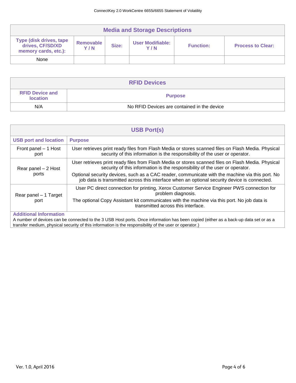| <b>Media and Storage Descriptions</b>                                                                                                                                               |  |  |  |  |  |  |
|-------------------------------------------------------------------------------------------------------------------------------------------------------------------------------------|--|--|--|--|--|--|
| <b>Type (disk drives, tape)</b><br>Removable<br>User Modifiable:<br>drives, CF/SD/XD<br>Size:<br><b>Process to Clear:</b><br><b>Function:</b><br>Y/N<br>Y/N<br>memory cards, etc.): |  |  |  |  |  |  |
| None                                                                                                                                                                                |  |  |  |  |  |  |

| <b>RFID Devices</b>                       |                                             |  |  |  |
|-------------------------------------------|---------------------------------------------|--|--|--|
| <b>RFID Device and</b><br><b>location</b> | <b>Purpose</b>                              |  |  |  |
| N/A                                       | No RFID Devices are contained in the device |  |  |  |

| <b>USB Port(s)</b>            |                                                                                                                                                                                                 |  |  |  |  |
|-------------------------------|-------------------------------------------------------------------------------------------------------------------------------------------------------------------------------------------------|--|--|--|--|
| <b>USB port and location</b>  | <b>Purpose</b>                                                                                                                                                                                  |  |  |  |  |
| Front panel – 1 Host<br>port  | User retrieves print ready files from Flash Media or stores scanned files on Flash Media. Physical<br>security of this information is the responsibility of the user or operator.               |  |  |  |  |
| Rear panel - 2 Host<br>ports  | User retrieves print ready files from Flash Media or stores scanned files on Flash Media. Physical<br>security of this information is the responsibility of the user or operator.               |  |  |  |  |
|                               | Optional security devices, such as a CAC reader, communicate with the machine via this port. No<br>job data is transmitted across this interface when an optional security device is connected. |  |  |  |  |
| Rear panel – 1 Target         | User PC direct connection for printing, Xerox Customer Service Engineer PWS connection for<br>problem diagnosis.                                                                                |  |  |  |  |
| port                          | The optional Copy Assistant kit communicates with the machine via this port. No job data is<br>transmitted across this interface.                                                               |  |  |  |  |
| <b>Additional Information</b> |                                                                                                                                                                                                 |  |  |  |  |

A number of devices can be connected to the 3 USB Host ports. Once information has been copied (either as a back-up data set or as a transfer medium, physical security of this information is the responsibility of the user or operator.)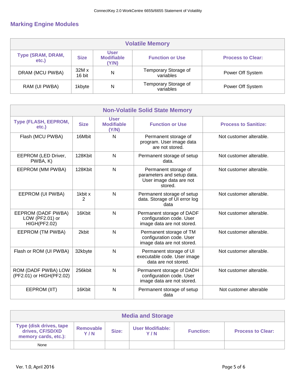# **Marking Engine Modules**

| <b>Volatile Memory</b>                                                                                                                       |                 |   |                                   |                  |  |  |  |
|----------------------------------------------------------------------------------------------------------------------------------------------|-----------------|---|-----------------------------------|------------------|--|--|--|
| <b>User</b><br>Type (SRAM, DRAM,<br><b>Modifiable</b><br><b>Size</b><br><b>Function or Use</b><br><b>Process to Clear:</b><br>etc.)<br>(Y/N) |                 |   |                                   |                  |  |  |  |
| DRAM (MCU PWBA)                                                                                                                              | 32M x<br>16 bit | N | Temporary Storage of<br>variables | Power Off System |  |  |  |
| RAM (UI PWBA)                                                                                                                                | 1kbyte          | N | Temporary Storage of<br>variables | Power Off System |  |  |  |

| <b>Non-Volatile Solid State Memory</b>                       |              |                                           |                                                                                          |                         |  |  |
|--------------------------------------------------------------|--------------|-------------------------------------------|------------------------------------------------------------------------------------------|-------------------------|--|--|
| <b>Type (FLASH, EEPROM,</b><br>etc.)                         | <b>Size</b>  | <b>User</b><br><b>Modifiable</b><br>(Y/N) | <b>Function or Use</b><br><b>Process to Sanitize:</b>                                    |                         |  |  |
| Flash (MCU PWBA)                                             | 16Mbit       | N                                         | Permanent storage of<br>program. User image data<br>are not stored.                      | Not customer alterable. |  |  |
| EEPROM (LED Driver,<br>PWBA, K)                              | 128Kbit      | N                                         | Permanent storage of setup<br>data.                                                      | Not customer alterable. |  |  |
| EEPROM (MM PWBA)                                             | 128Kbit      | N                                         | Permanent storage of<br>parameters and setup data.<br>User image data are not<br>stored. | Not customer alterable. |  |  |
| EEPROM (UI PWBA)                                             | 1kbit x<br>2 | N                                         | Permanent storage of setup<br>data. Storage of UI error log<br>data                      | Not customer alterable. |  |  |
| EEPROM (DADF PWBA)<br>LOW (PF2.01) or<br><b>HIGH(PF2.02)</b> | 16Kbit       | $\mathsf{N}$                              | Permanent storage of DADF<br>configuration code. User<br>image data are not stored.      | Not customer alterable. |  |  |
| EEPROM (TM PWBA)                                             | 2kbit        | $\mathsf{N}$                              | Permanent storage of TM<br>configuration code. User<br>image data are not stored.        | Not customer alterable. |  |  |
| Flash or ROM (UI PWBA)                                       | 32kbyte      | N                                         | Permanent storage of UI<br>executable code. User image<br>data are not stored.           | Not customer alterable. |  |  |
| ROM (DADF PWBA) LOW<br>(PF2.01) or HIGH(PF2.02)              | 256kbit      | N                                         | Permanent storage of DADH<br>configuration code. User<br>image data are not stored.      | Not customer alterable. |  |  |
| EEPROM (IIT)                                                 | 16Kbit       | $\mathsf{N}$                              | Permanent storage of setup<br>data                                                       | Not customer alterable  |  |  |

| <b>Media and Storage</b>                                                                                                                                                                   |  |  |  |  |  |  |
|--------------------------------------------------------------------------------------------------------------------------------------------------------------------------------------------|--|--|--|--|--|--|
| <b>Type (disk drives, tape)</b><br><b>User Modifiable:</b><br>Removable<br>drives, CF/SD/XD<br>Size:<br><b>Process to Clear:</b><br><b>Function:</b><br>Y/N<br>Y/N<br>memory cards, etc.): |  |  |  |  |  |  |
| None                                                                                                                                                                                       |  |  |  |  |  |  |